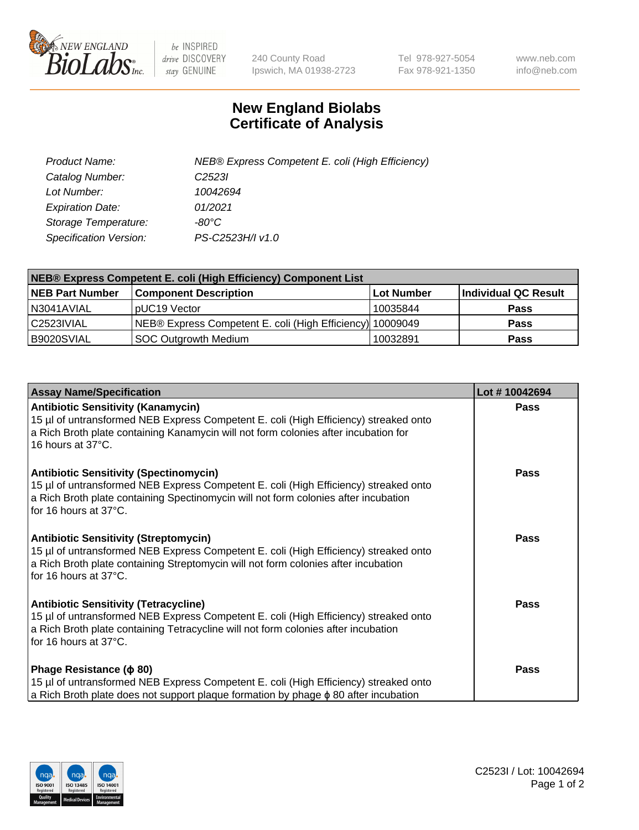

 $be$  INSPIRED drive DISCOVERY stay GENUINE

240 County Road Ipswich, MA 01938-2723 Tel 978-927-5054 Fax 978-921-1350 www.neb.com info@neb.com

## **New England Biolabs Certificate of Analysis**

| Product Name:           | NEB® Express Competent E. coli (High Efficiency) |
|-------------------------|--------------------------------------------------|
| Catalog Number:         | C <sub>2523</sub>                                |
| Lot Number:             | 10042694                                         |
| <b>Expiration Date:</b> | 01/2021                                          |
| Storage Temperature:    | -80°C                                            |
| Specification Version:  | PS-C2523H/I v1.0                                 |

| NEB® Express Competent E. coli (High Efficiency) Component List |                                                           |            |                      |  |
|-----------------------------------------------------------------|-----------------------------------------------------------|------------|----------------------|--|
| <b>NEB Part Number</b>                                          | <b>Component Description</b>                              | Lot Number | Individual QC Result |  |
| N3041AVIAL                                                      | pUC19 Vector                                              | 10035844   | <b>Pass</b>          |  |
| C2523IVIAL                                                      | NEB® Express Competent E. coli (High Efficiency) 10009049 |            | <b>Pass</b>          |  |
| B9020SVIAL                                                      | <b>SOC Outgrowth Medium</b>                               | 10032891   | <b>Pass</b>          |  |

| <b>Assay Name/Specification</b>                                                                                                                                                                                                                       | Lot #10042694 |
|-------------------------------------------------------------------------------------------------------------------------------------------------------------------------------------------------------------------------------------------------------|---------------|
| <b>Antibiotic Sensitivity (Kanamycin)</b><br>15 µl of untransformed NEB Express Competent E. coli (High Efficiency) streaked onto<br>a Rich Broth plate containing Kanamycin will not form colonies after incubation for<br>16 hours at 37°C.         | <b>Pass</b>   |
| <b>Antibiotic Sensitivity (Spectinomycin)</b><br>15 µl of untransformed NEB Express Competent E. coli (High Efficiency) streaked onto<br>a Rich Broth plate containing Spectinomycin will not form colonies after incubation<br>for 16 hours at 37°C. | <b>Pass</b>   |
| <b>Antibiotic Sensitivity (Streptomycin)</b><br>15 µl of untransformed NEB Express Competent E. coli (High Efficiency) streaked onto<br>a Rich Broth plate containing Streptomycin will not form colonies after incubation<br>for 16 hours at 37°C.   | Pass          |
| <b>Antibiotic Sensitivity (Tetracycline)</b><br>15 µl of untransformed NEB Express Competent E. coli (High Efficiency) streaked onto<br>a Rich Broth plate containing Tetracycline will not form colonies after incubation<br>for 16 hours at 37°C.   | Pass          |
| Phage Resistance ( $\phi$ 80)<br>15 µl of untransformed NEB Express Competent E. coli (High Efficiency) streaked onto<br>a Rich Broth plate does not support plaque formation by phage $\phi$ 80 after incubation                                     | Pass          |